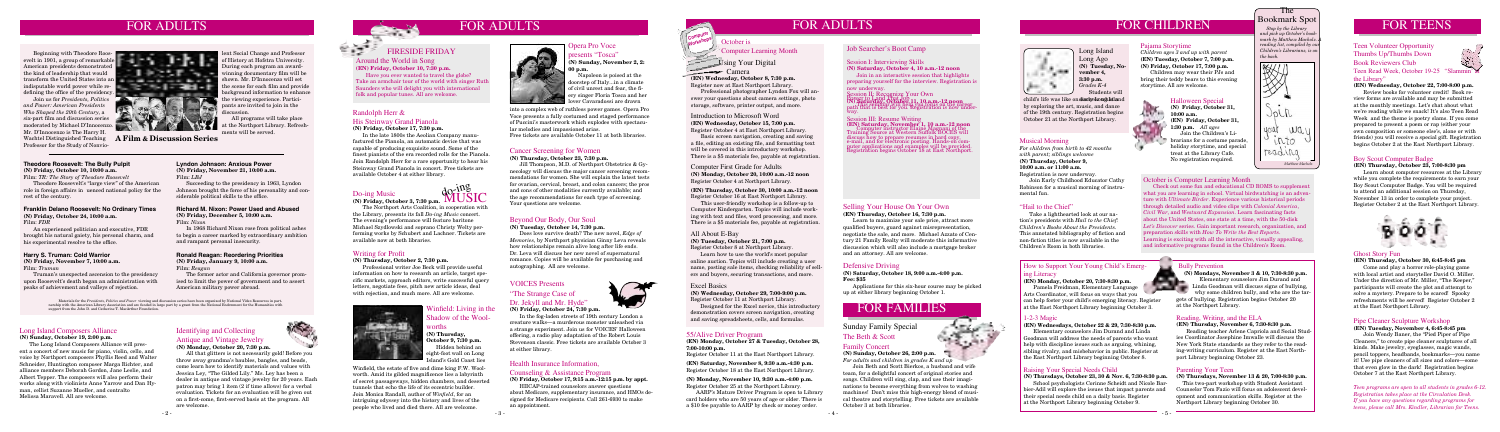## Health Insurance Information,

### Counseling & Assistance Program

**(N) Friday, October 17, 9:15 a.m.-12:15 p.m. by appt.** HIICAP-trained counselors answer questions

about Medicare, supplementary insurance, and HMOs designed for Medicare recipients. Call 261-6930 to make an appointment.

worths **(N) Thursday, October 9, 7:30 p.m.** Hidden behind an eight-foot wall on Long sland's Gold Coast lies

# FOR CHILDREN



## The Bookmark Spot

 *Stop by the Library and pick up October's bookmark by Matthew Macholz.*  $reading$  *list, compiled by ou Children's Librarians, is on the back.*



## Winfield: Living in the Shadow of the Wool-

### Pajama Storytime

*Children ages 3 and up with parent* **(EN) Tuesday, October 7, 7:00 p.m. (N) Friday, October 17, 7:00 p.m.** Children may wear their PJs and bring their teddy bears to this evening storytime. All are welcome.

## Halloween Special

## Defensive Driving

**(N) Saturday, October 18, 9:00 a.m.-4:00 p.m. Fee: \$35** 

 Applications for this six-hour course may be picked up at either library beginning October 1.

## 55/Alive Driver Program

### **(EN) Monday, October 27 & Tuesday, October 28, 7:00-10:00 p.m.**

Register October 11 at the East Northport Library.

**(EN) Saturday, November 8, 9:30 a.m.-4:30 p.m.** Register October 18 at the East Northport Library.

#### **(N) Monday, November 10, 9:30 a.m.-4:00 p.m.** Register October 25 at the Northport Library.

 AARP's Mature Driver Program is open to Library card holders who are 50 years of age or older. There is a \$10 fee payable to AARP by check or money order.

## Writing for Profit

### **(N) Thursday, October 2, 7:30 p.m.**

 Professional writer Joe Beck will provide useful information on how to research an article, target specific markets, approach editors, write successful query letters, negotiate fees, pitch new article ideas, deal with rejection, and much more. All are welcome.



## Job Searcher's Boot Camp

### Session I: Interviewing Skills

## **(N) Saturday, October 4, 10 a.m.-12 noon**

Join in an interactive session that highlights preparing yourself for the interview. Registration is now underway.

### $\sum_{x \in \mathcal{X}}$   $\sum_{y \in \mathcal{Y}}$   $\sum_{y \in \mathcal{Y}}$   $\sum_{y \in \mathcal{Y}}$   $\sum_{y \in \mathcal{Y}}$   $\sum_{y \in \mathcal{Y}}$   $\sum_{y \in \mathcal{Y}}$   $\sum_{y \in \mathcal{Y}}$

**Power to Land Thize Tour Own<br>(N) <b>Saturday, October 11, 10 a.m.-12 noon**<br>(N) **Saturday, October 11, 10 a.m.-12 noon**<br>path that is best for you. Registration is now under-<br>way.

Session III: Resume Writing **(EN) Saturday, November 1, 10 a.m.-12 noon Computer instructor Elaine Magnani of the Training Source at Western Suffolk BOCES will** scuss how to prepare resumes in hard copy, e-mail, and for electronic posting. Hands-on com- puter applications and examples will be provided. Registration begins October 18 at East Northport.

### Long Island Composers Alliance

**(N) Sunday, October 19, 2:00 p.m.**

 Napoleon is poised at the doorstep of Italy...in a climate of civil unrest and fear, the fiery singer Floria Tosca and her **Lover Cavaradossi are drawn** 

 The Long Island Composers Alliance will present a concert of new music for piano, violin, cello, and voice by Northport composers Phyllis Reed and Walter Schneider, Huntington composer Marga Richter, and alliance members Deborah Gordon, Jane Leslie, and Albert Tepper. The composers will also perform their works along with violinists Anne Yarrow and Dan Hyman, cellist Suzanne Mueller, and contralto Melissa Maravell. All are welcome.

# FOR ADULTS FOR ADULTS

Beginning with Theodore Ro American presidents dem the kind of leadership that would transform the United States into an indisputable world power while re-

## Do-ing Music



Do-ing Music<br>
(N) Friday, October 3, 7:30 p.m. **MUSIC** 

 The Northport Arts Coalition, in cooperation with the Library, presents its fall *Do-ing Music* concert. The evening's performance will feature baritone Michael Szydlowski and soprano Christy Welty performing works by Schubert and Lachner. Tickets are available now at both libraries.

## Beyond Our Body, Our Soul

**(N) Tuesday, October 14, 7:30 p.m.**

 Does love survive death? The new novel, *Edge of Memories*, by Northport physician Ginny Leva reveals how relationships remain alive long after life ends. Dr. Leva will discuss her new novel of supernatural romance. Copies will be available for purchasing and autographing. All are welcome.

## Family Concert

**(N) Sunday, October 26, 2:00 p.m.** *For adults and children in grades K and up*

 Join Beth and Scott Bierkos, a husband and wife team, for a delightful concert of original stories and songs. Children will sing, clap, and use their imaginations to become everything from wolves to washing machines! Don't miss this high-energy blend of musical theatre and storytelling. Free tickets are available October 3 at both libraries.

## Identifying and Collecting Antique and Vintage Jewelry **(N) Monday, October 20, 7:30 p.m.**

 All that glitters is not necessarily gold! Before you throw away grandma's baubles, bangles, and beads, come learn how to identify materials and values with Jessica Ley, "The Gilded Lily." Ms. Ley has been a dealer in antique and vintage jewelry for 20 years. Each patron may bring 1 item (2 if time allows) for a verbal evaluation. Tickets for an evaluation will be given out on a first-come, first-served basis at the program. All are welcome.



## Cancer Screening for Women

**(N) Thursday, October 23, 7:30 p.m.**

 Jill Thompson, M.D. of Northport Obstetrics & Gynecology will discuss the major cancer screening recommendations for women. She will explain the latest tests for ovarian, cervical, breast, and colon cancers; the pros and cons of other modalities currently available; and the age recommendations for each type of screening. Your questions are welcome.

## VOICES Presents "The Strange Case of Dr. Jekyll and Mr. Hyde"



### **(N) Friday, October 24, 7:30 p.m.**

 In the fog-laden streets of 19th century London a creature walks—a murderous monster unleashed via a strange experiment. Join us for VOICES' Halloween offering, a radio play adaptation of the Robert Louis Stevenson classic. Free tickets are available October 3 at either library.

### Opera Pro Voce presents "Tosca"

**(N) Sunday, November 2, 2: 00 p.m.**

 Join us for *Presidents, Politics and Power: American Presidents Who Shaped the 20th Century*, a six-part film and discussion series moderated by Michael D'Innocenzo. Mr. D'Innocenzo is The Harry H. Wachtel Distinguished Teaching **A Film & Discussion Series** Professor for the Study of Nonvio-

### **Theodore Roosevelt: The Bully Pulpit (N) Friday, October 10, 10:00 a.m.**

## How to Support Your Young Child's Emergl ing Literacy

Film: *TR: The Story of Theodore Roosevelt*

 Theodore Roosevelt's "large view" of the American role in foreign affairs in uenced national policy for the rest of the century.

## **Ronald Reagan: Reordering Priorities (N) Friday, January 9, 10:00 a.m.**

Film: *Reagan*

 The former actor and California governor promised to limit the power of government and to assert American military power abroad.

### **Richard M. Nixon: Power Used and Abused (N) Friday, December 5, 10:00 a.m.** Film: *Nixon*

Learn to maximize your sale price, attract more qualified buyers, guard against misrepresentation, negotiate the sale, and more. Michael Azzato of Century 21 Family Realty will moderate this informative discussion which will also include a mortgage broker and an attorney. All are welcome.



 In 1968 Richard Nixon rose from political ashes to begin a career marked by extraordinary ambition and rampant personal insecurity.

#### **Lyndon Johnson: Anxious Power (N) Friday, November 21, 10:00 a.m.** Film: *LBJ*

 Succeeding to the presidency in 1963, Lyndon Johnson brought the force of his personality and considerable political skills to the office.

### **Franklin Delano Roosevelt: No Ordinary Times (N) Friday, October 24, 10:00 a.m.** Film: *FDR*

 An experienced politician and executive, FDR brought his natural gaiety, his personal charm, and his experimental resolve to the office.

### **Harry S. Truman: Cold Warrior**

#### **(N) Friday, November 7, 10:00 a.m.** Film: *Truman*

child's life was like on discussion and Island by exploring the art, music, and dance of the 19th century. Registration begins October 21 at the Northport Library.

 Truman's unexpected ascension to the presidency upon Roosevelt's death began an administration with peaks of achievement and valleys of rejection.

lent Social Change and Professor of History at Hofstra University. During each program an awardwinning documentary film will be shown. Mr. D'Innocenzo will set the scene for each film and provide background information to enhance

discussion.

 All programs will take place at the Northport Library. Refresh-

ments will be served.

into a complex web of ruthless power games. Opera Pro Voce presents a fully costumed and staged performance of Puccini's masterwork which explodes with spectacular melodies and impassioned arias.

Free tickets are available October 11 at both libraries.

### Around the World in Song **(EN) Friday, October 10, 7:30 p.m.**

 Have you ever wanted to travel the globe? Take an armchair tour of the world with singer Ruth Saunders who will delight you with international folk and popular tunes. All are welcome.

## Pipe Cleaner Sculpture Workshop

**(EN) Tuesday, November 4, 6:45-8:45 pm**

 Join Wendy Baner, the "Pied Piper of Pipe Cleaners," to create pipe cleaner sculptures of all kinds. Make jewelry, eyeglasses, magic wands, pencil toppers, headbands, bookmarks—you name it! Use pipe cleaners of all sizes and colors—some that even glow in the dark! Registration begins October 7 at the East Northport Library.

## Ghost Story Fun

**(EN) Thursday, October 30, 6:45-8:45 pm**

 Come and play a horror role-playing game with local artist and storyteller David O. Miller. Under the direction of Mr. Miller, "The Keeper," participants will create the plot and attempt to solve a mystery. Prepare to be scared! Spooky refreshments will be served! Register October 2 at the East Northport Library.

## Boy Scout Computer Badge

**(EN) Thursday, October 23, 7:00-8:30 pm**

 Learn about computer resources at the Library while you complete the requirements to earn your Boy Scout Computer Badge. You will be required to attend an additional session on Thursday, November 13 in order to complete your project. Register October 2 at the East Northport Library.



## Teen Volunteer Opportunity Thumbs Up/Thumbs Down Book Reviewers Club



The Beth & Scott Sunday Family Special



## Teen Read Week, October 19-25 "Slammin' at the Library"

## **(EN) Wednesday, October 22, 7:00-8:00 p.m.**

 Review books for volunteer credit! Book review forms are available and may be submitted at the monthly meetings. Let's chat about what we're reading while we snack! It's also Teen Read Week and the theme is poetry slams. If you come prepared to present a poem or rap (either your own composition or someone else's, alone or with friends) you will receive a special gift. Registration begins October 2 at the East Northport Library.

# FOR FAMILIES

### All About E-Bay

**(N) Tuesday, October 21, 7:00 p.m.** Register October 8 at Northport Library.

 Learn how to use the world's most popular online auction. Topics will include creating a user name, posting sale items, checking reliability of sellers and buyers, securing transactions, and more.

### Excel Basics

**(N) Wednesday, October 29, 7:00-9:00 p.m.** Register October 11 at Northport Library.

 Designed for the Excel novice, this introductory demonstration covers screen navigation, creating and saving spreadsheets, cells, and formulas.

Computer First Grade for Adults

**(N) Monday, October 20, 10:00 a.m.-12 noon**

## Register October 4 at Northport Library. **(EN) Thursday, October 30, 10:00 a.m.-12 noon**

Register October 16 at East Northport Library.

This user-friendly workshop is a follow-up to Computer Kindergarten. Topics will include working with text and files, word processing, and more. There is a \$5 materials fee, payable at registration.

 Materials for the *Presidents, Politics and Power* viewing and discussion series have been organized by National Video Resources in partnership with the American Library Association and are funded in large part by a grant from the National Endowment for the Humanities with support from the John D. and Catherine T. MacArthur Foundation.

### 1-2-3 Magic

### **(EN) Wednesdays, October 22 & 29, 7:30-8:30 p.m.**

 Elementary counselors Jim Durand and Linda Goodman will address the needs of parents who want help with discipline issues such as arguing, whining, sibling rivalry, and misbehavior in public. Register at the East Northport Library beginning October 8.



why some children bully, and who are the tar-

gets of bullying. Registration begins October 20

at the Northport Library.

Reading, Writing, and the ELA

**(EN) Thursday, November 6, 7:30-8:30 p.m.**

 Reading teacher Arlene Capriola and Social Studies Coordinator Josephine Imwalle will discuss the New York State standards as they refer to the reading-writing curriculum. Register at the East North-

port Library beginning October 23.

Parenting Your Teen

**(N) Thursdays, November 13 & 20, 7:00-8:30 p.m.** This two-part workshop with Student Assistant Counselor Tom Fazio will focus on adolescent development and communication skills. Register at the

Northport Library beginning October 30.

**(EN) Monday, October 20, 7:30-8:30 p.m.**

 Pamela Freidman, Elementary Language Arts Coordinator, will focus on ways that you can help foster your child's emerging literacy. Register at the East Northport Library beginning October 3.

### Raising Your Special Needs Child

**(N) Thursdays, October 23, 30 & Nov. 6, 7:30-8:30 p.m.**

 School psychologists Corinne Scheidt and Nicole Barbier-Adil will explore the issues that impact parents and their special needs child on a daily basis. Register at the Northport Library beginning October 9.

## FOR TEENS

## Selling Your House On Your Own

**(EN) Thursday, October 16, 7:30 p.m.**

Long Island Long Ago **(N) Tuesday, November 4, 3:30 p.m.** *Grades K-4* Students will

> **(N) Friday, October 31,**   $-0.07 - 0.001$ **10:00 a.m. (EN) Friday, October 31, 1:30 p.m.** *All ages* Join the Children's Librarians for a costume parade, holiday storytime, and special treat at the Library Cafe.

> > No registration required.

Winfield, the estate of five and dime king F.W. Woolworth. Amid its gilded magnificence lies a labyrinth of secret passageways, hidden chambers, and deserted tunnels that echo the life of its eccentric builder. Join Monica Randall, author of *Winfield*, for an intriguing odyssey into the history and lives of the people who lived and died there. All are welcome.



## FIRESIDE FRIDAY

### "Hail to the Chief"

 Take a lighthearted look at our nation's presidents with *Hail to the Chief: Children's Books About the Presidents.* This annotated bibliography of fiction and non-fiction titles is now available in the Children's Room in both libraries.

### Musical Morning

*For children from birth to 42 months with parent; siblings welcome*  **(N) Thursday, October 9, 10:00 a.m. or 11:00 a.m.** Registration is now underway.

Join Early Childhood Educator Cathy Robinson for a musical morning of instrumental fun.

### October is Computer Learning Month

 Check out some fun and educational CD ROMS to supplement what you are learning in school. Virtual birdwatching is an adventure with *Ultimate Birder*. Experience various historical periods through detailed audio and video clips with *Colonial America*, *Civil War*, and *Westward Expansion*. Learn fascinating facts about the United States, one state at a time, with the 50-disk *Let's Discover* series. Gain important research, organization, and preparation skills with *How To Write the Best Reports*. Learning is exciting with all the interactive, visually appealing, and informative programs found in the Children's Room.

October is

Camera

Computer Learning Month

FOR ADULTS

**Computer Workshops**

Introduction to Microsoft Word **(EN) Wednesday, October 15, 7:00 p.m.** Register October 4 at East Northport Library.

Basic screen navigation, creating and saving a file, editing an existing file, and formatting text will be covered in this introductory workshop. There is a \$5 materials fee, payable at registration.

Using Your Digital

**(EN) Wednesday, October 8, 7:30 p.m.** Register now at East Northport Library.

 Professional photographer Lyndon Fox will answer your questions about camera settings, photo storage, software, printer output, and more.

## Randolph Herr & His Steinway Grand Pianola

### **(N) Friday, October 17, 7:30 p.m.**

 In the late 1800s the Aeolian Company manufactured the Pianola, an automatic device that was capable of producing exquisite sound. Some of the finest pianists of the era recorded rolls for the Pianola. Join Randolph Herr for a rare opportunity to hear his Steinway Grand Pianola in concert. Free tickets are available October 4 at either library.

> *Teen programs are open to all students in grades 6-12. Registration takes place at the Circulation Desk. If you have any questions regarding programs for teens, please call Mrs. Kindler, Librarian for Teens.*